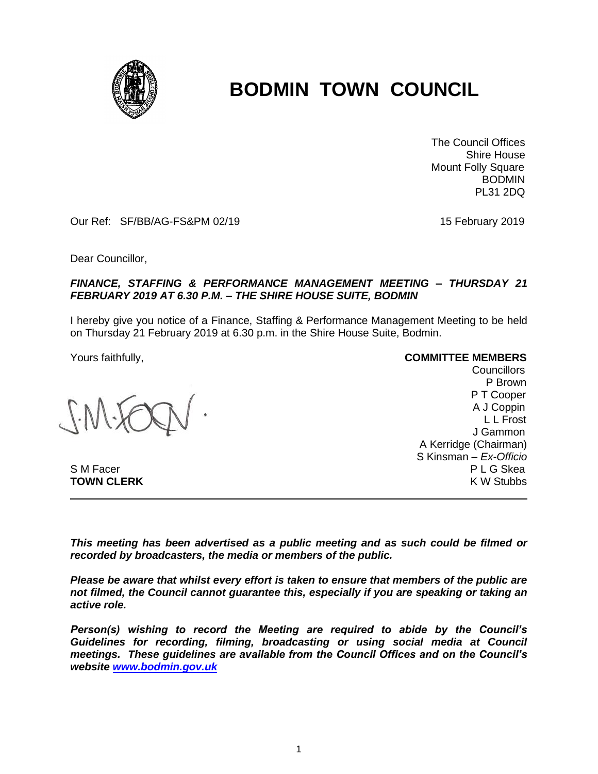

## **BODMIN TOWN COUNCIL**

 The Council Offices Shire House Mount Folly Square **BODMIN** PL31 2DQ

Our Ref: SF/BB/AG-FS&PM 02/19 15 February 2019

Dear Councillor,

## *FINANCE, STAFFING & PERFORMANCE MANAGEMENT MEETING – THURSDAY 21 FEBRUARY 2019 AT 6.30 P.M. – THE SHIRE HOUSE SUITE, BODMIN*

I hereby give you notice of a Finance, Staffing & Performance Management Meeting to be held on Thursday 21 February 2019 at 6.30 p.m. in the Shire House Suite, Bodmin.

**TOWN CLERK** 

Yours faithfully, **COMMITTEE MEMBERS**

Councillors P Brown P T Cooper A J Coppin L L Frost J Gammon A Kerridge (Chairman) S Kinsman – *Ex-Officio* S M Facer P L G Skea

*This meeting has been advertised as a public meeting and as such could be filmed or recorded by broadcasters, the media or members of the public.*

*Please be aware that whilst every effort is taken to ensure that members of the public are not filmed, the Council cannot guarantee this, especially if you are speaking or taking an active role.*

*Person(s) wishing to record the Meeting are required to abide by the Council's Guidelines for recording, filming, broadcasting or using social media at Council meetings. These guidelines are available from the Council Offices and on the Council's website [www.bodmin.gov.uk](http://www.bodmin.gov.uk/)*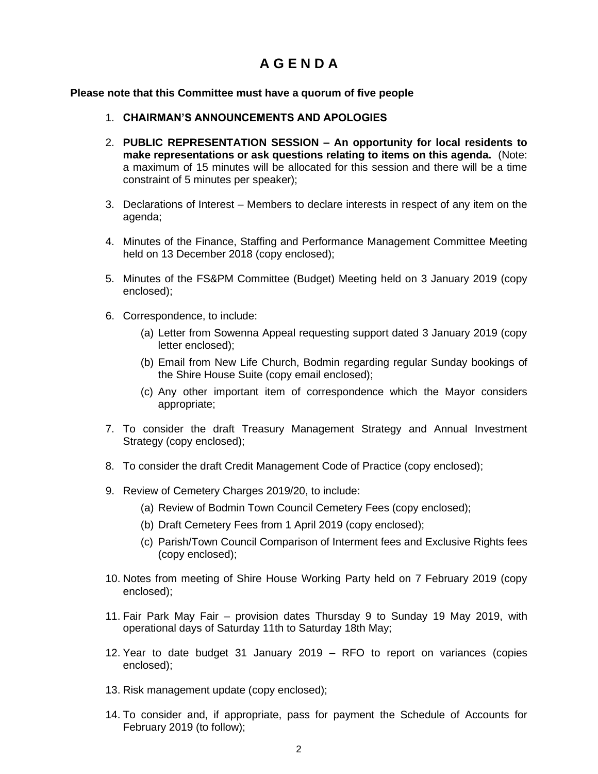## **A G E N D A**

## **Please note that this Committee must have a quorum of five people**

- 1. **CHAIRMAN'S ANNOUNCEMENTS AND APOLOGIES**
- 2. **PUBLIC REPRESENTATION SESSION – An opportunity for local residents to make representations or ask questions relating to items on this agenda.** (Note: a maximum of 15 minutes will be allocated for this session and there will be a time constraint of 5 minutes per speaker);
- 3. Declarations of Interest Members to declare interests in respect of any item on the agenda;
- 4. Minutes of the Finance, Staffing and Performance Management Committee Meeting held on 13 December 2018 (copy enclosed);
- 5. Minutes of the FS&PM Committee (Budget) Meeting held on 3 January 2019 (copy enclosed);
- 6. Correspondence, to include:
	- (a) Letter from Sowenna Appeal requesting support dated 3 January 2019 (copy letter enclosed);
	- (b) Email from New Life Church, Bodmin regarding regular Sunday bookings of the Shire House Suite (copy email enclosed);
	- (c) Any other important item of correspondence which the Mayor considers appropriate;
- 7. To consider the draft Treasury Management Strategy and Annual Investment Strategy (copy enclosed);
- 8. To consider the draft Credit Management Code of Practice (copy enclosed);
- 9. Review of Cemetery Charges 2019/20, to include:
	- (a) Review of Bodmin Town Council Cemetery Fees (copy enclosed);
	- (b) Draft Cemetery Fees from 1 April 2019 (copy enclosed);
	- (c) Parish/Town Council Comparison of Interment fees and Exclusive Rights fees (copy enclosed);
- 10. Notes from meeting of Shire House Working Party held on 7 February 2019 (copy enclosed);
- 11. Fair Park May Fair provision dates Thursday 9 to Sunday 19 May 2019, with operational days of Saturday 11th to Saturday 18th May;
- 12. Year to date budget 31 January 2019 RFO to report on variances (copies enclosed);
- 13. Risk management update (copy enclosed);
- 14. To consider and, if appropriate, pass for payment the Schedule of Accounts for February 2019 (to follow);